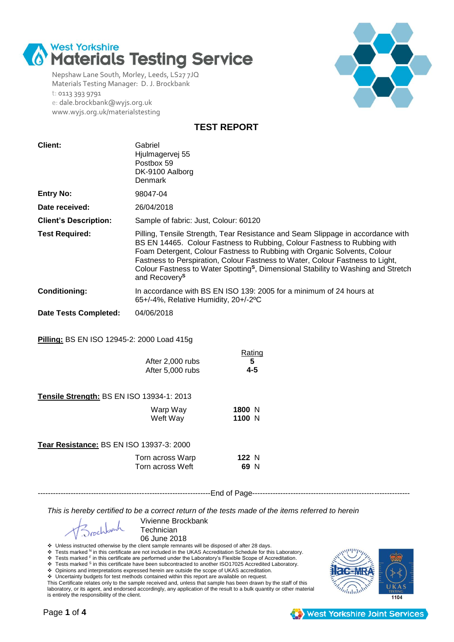

Nepshaw Lane South, Morley, Leeds, LS27 7JQ Materials Testing Manager: D. J. Brockbank t: 0113 393 9791 e: dale.brockbank@wyjs.org.uk www.wyjs.org.uk/materialstesting



**TEST REPORT**

| <b>Client:</b>                             | Gabriel<br>Hjulmagervej 55<br>Postbox 59<br>DK-9100 Aalborg<br>Denmark |                                                                                                                                                                                                                                                                                                                                                                                                                           |
|--------------------------------------------|------------------------------------------------------------------------|---------------------------------------------------------------------------------------------------------------------------------------------------------------------------------------------------------------------------------------------------------------------------------------------------------------------------------------------------------------------------------------------------------------------------|
| <b>Entry No:</b>                           | 98047-04                                                               |                                                                                                                                                                                                                                                                                                                                                                                                                           |
| Date received:                             | 26/04/2018                                                             |                                                                                                                                                                                                                                                                                                                                                                                                                           |
| <b>Client's Description:</b>               | Sample of fabric: Just, Colour: 60120                                  |                                                                                                                                                                                                                                                                                                                                                                                                                           |
| <b>Test Required:</b>                      | and Recovery <sup>S</sup>                                              | Pilling, Tensile Strength, Tear Resistance and Seam Slippage in accordance with<br>BS EN 14465. Colour Fastness to Rubbing, Colour Fastness to Rubbing with<br>Foam Detergent, Colour Fastness to Rubbing with Organic Solvents, Colour<br>Fastness to Perspiration, Colour Fastness to Water, Colour Fastness to Light,<br>Colour Fastness to Water Spotting <sup>s</sup> , Dimensional Stability to Washing and Stretch |
| <b>Conditioning:</b>                       | 65+/-4%, Relative Humidity, 20+/-2°C                                   | In accordance with BS EN ISO 139: 2005 for a minimum of 24 hours at                                                                                                                                                                                                                                                                                                                                                       |
| <b>Date Tests Completed:</b>               | 04/06/2018                                                             |                                                                                                                                                                                                                                                                                                                                                                                                                           |
| Pilling: BS EN ISO 12945-2: 2000 Load 415g |                                                                        |                                                                                                                                                                                                                                                                                                                                                                                                                           |
|                                            | After 2,000 rubs<br>After 5,000 rubs                                   | Rating<br>5<br>$4 - 5$                                                                                                                                                                                                                                                                                                                                                                                                    |
| Tensile Strength: BS EN ISO 13934-1: 2013  |                                                                        |                                                                                                                                                                                                                                                                                                                                                                                                                           |
|                                            | Warp Way<br>Weft Way                                                   | 1800 N<br>1100 N                                                                                                                                                                                                                                                                                                                                                                                                          |
| Tear Resistance: BS EN ISO 13937-3: 2000   |                                                                        |                                                                                                                                                                                                                                                                                                                                                                                                                           |
|                                            | Torn across Warp<br>Torn across Weft                                   | 122 N<br>69 N                                                                                                                                                                                                                                                                                                                                                                                                             |

--------------------------------------------------------------------End of Page--------------------------------------------------------------

*This is hereby certified to be a correct return of the tests made of the items referred to herein*

Vivienne Brockbank **Technician** 06 June 2018

 $\frac{V}{V}$  Unless instructed otherwise by the client sample remnants will be disposed of after 28 days.

\* Tests marked <sup>N</sup> in this certificate are not included in the UKAS Accreditation Schedule for this Laboratory.<br>\* Tests marked <sup>F</sup> in this certificate are performed under the Laboratory's Flexible Scope of Accreditation.<br>

Opinions and interpretations expressed herein are outside the scope of UKAS accreditation.

Uncertainty budgets for test methods contained within this report are available on request.

This Certificate relates only to the sample received and, unless that sample has been drawn by the staff of this laboratory, or its agent, and endorsed accordingly, any application of the result to a bulk quantity or other material is entirely the responsibility of the client.



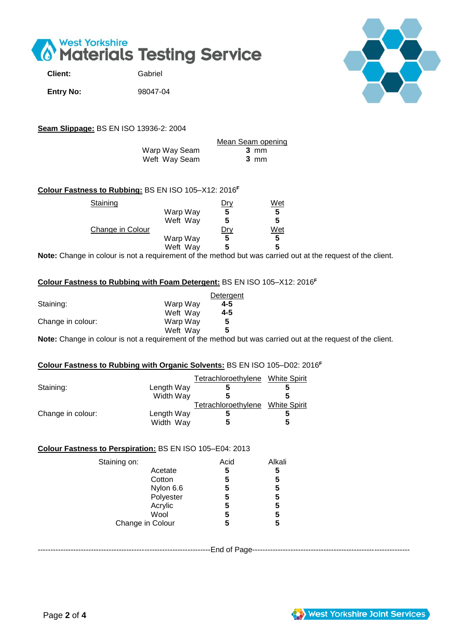

| Client:          | Gabriel  |
|------------------|----------|
| <b>Entry No:</b> | 98047-04 |



**Seam Slippage:** BS EN ISO 13936-2: 2004

|               | Mean Seam opening |
|---------------|-------------------|
| Warp Way Seam | 3 mm              |
| Weft Way Seam | 3 mm              |

# **Colour Fastness to Rubbing:** BS EN ISO 105–X12: 2016**<sup>F</sup>**

| Staining         |          | <u> Dry</u> | Wet |
|------------------|----------|-------------|-----|
|                  | Warp Way | 5           | 5   |
|                  | Weft Way | 5           | 5   |
| Change in Colour |          | Dry         | Wet |
|                  | Warp Way | 5           | 5   |
|                  | Weft Way | 5           | 5   |
|                  |          |             |     |

**Note:** Change in colour is not a requirement of the method but was carried out at the request of the client.

### **Colour Fastness to Rubbing with Foam Detergent:** BS EN ISO 105–X12: 2016**<sup>F</sup>**

|                   |          | Detergent |
|-------------------|----------|-----------|
| Staining:         | Warp Way | 4-5       |
|                   | Weft Way | 4-5       |
| Change in colour: | Warp Way | 5         |
|                   | Weft Way | 5         |
|                   |          |           |

**Note:** Change in colour is not a requirement of the method but was carried out at the request of the client.

### **Colour Fastness to Rubbing with Organic Solvents:** BS EN ISO 105–D02: 2016**<sup>F</sup>**

|                   |            | Tetrachloroethylene | <b>White Spirit</b> |
|-------------------|------------|---------------------|---------------------|
| Staining:         | Length Way |                     |                     |
|                   | Width Way  |                     |                     |
|                   |            | Tetrachloroethylene | <b>White Spirit</b> |
| Change in colour: | Length Way |                     |                     |
|                   | Width Way  | 5                   | 5                   |

#### **Colour Fastness to Perspiration:** BS EN ISO 105–E04: 2013

| Staining on:     |           | Acid | Alkali |
|------------------|-----------|------|--------|
|                  | Acetate   | 5    | 5      |
|                  | Cotton    | 5    | 5      |
|                  | Nylon 6.6 | 5    | 5      |
|                  | Polyester | 5    | 5      |
|                  | Acrylic   | 5    | 5      |
|                  | Wool      | 5    | 5      |
| Change in Colour |           | 5    | 5      |

--------------------------------------------------------------------End of Page--------------------------------------------------------------

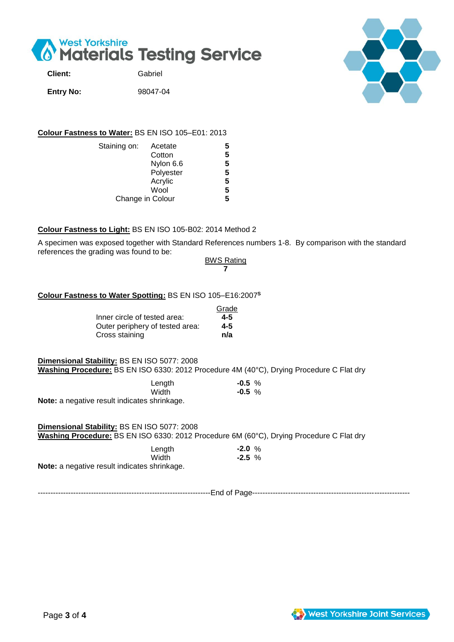

| <b>Client:</b>   | Gabriel  |
|------------------|----------|
| <b>Entry No:</b> | 98047-04 |



## **Colour Fastness to Water:** BS EN ISO 105–E01: 2013

| Staining on: | Acetate          | 5 |
|--------------|------------------|---|
|              | Cotton           | 5 |
|              | Nylon 6.6        | 5 |
|              | Polyester        | 5 |
|              | Acrylic          | 5 |
|              | Wool             | 5 |
|              | Change in Colour | 5 |

## **Colour Fastness to Light:** BS EN ISO 105-B02: 2014 Method 2

A specimen was exposed together with Standard References numbers 1-8. By comparison with the standard references the grading was found to be:

> **BWS Rating 7**

### **Colour Fastness to Water Spotting:** BS EN ISO 105–E16:2007 **S**

|                                 | Grade   |
|---------------------------------|---------|
| Inner circle of tested area:    | $4 - 5$ |
| Outer periphery of tested area: | 4-5     |
| Cross staining                  | n/a     |

#### **Dimensional Stability:** BS EN ISO 5077: 2008

**Washing Procedure:** BS EN ISO 6330: 2012 Procedure 4M (40°C), Drying Procedure C Flat dry

| Length | $-0.5%$ |
|--------|---------|
| Width  | $-0.5%$ |
|        |         |

**Note:** a negative result indicates shrinkage.

### **Dimensional Stability:** BS EN ISO 5077: 2008 **Washing Procedure:** BS EN ISO 6330: 2012 Procedure 6M (60°C), Drying Procedure C Flat dry

| Length                                              | $-2.0%$  |  |
|-----------------------------------------------------|----------|--|
| <b>Width</b>                                        | $-2.5\%$ |  |
| <b>Note:</b> a negative result indicates shrinkage. |          |  |

--------------------------------------------------------------------End of Page--------------------------------------------------------------